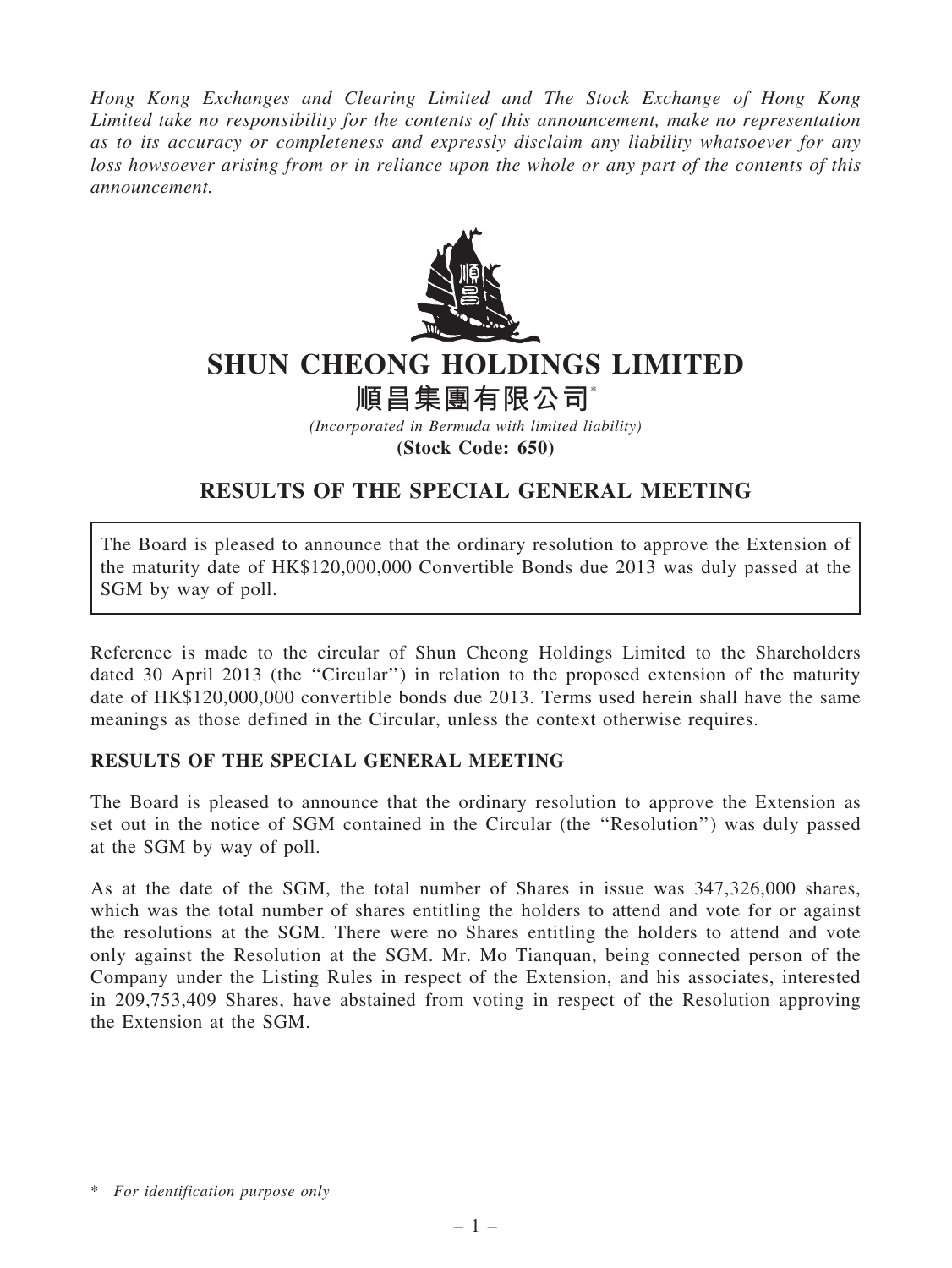Hong Kong Exchanges and Clearing Limited and The Stock Exchange of Hong Kong Limited take no responsibility for the contents of this announcement, make no representation as to its accuracy or completeness and expressly disclaim any liability whatsoever for any loss howsoever arising from or in reliance upon the whole or any part of the contents of this announcement.



## SHUN CHEONG HOLDINGS LIMITED

順昌集團有限公司\*

(Incorporated in Bermuda with limited liability) (Stock Code: 650)

## RESULTS OF THE SPECIAL GENERAL MEETING

The Board is pleased to announce that the ordinary resolution to approve the Extension of the maturity date of HK\$120,000,000 Convertible Bonds due 2013 was duly passed at the SGM by way of poll.

Reference is made to the circular of Shun Cheong Holdings Limited to the Shareholders dated 30 April 2013 (the "Circular") in relation to the proposed extension of the maturity date of HK\$120,000,000 convertible bonds due 2013. Terms used herein shall have the same meanings as those defined in the Circular, unless the context otherwise requires.

## RESULTS OF THE SPECIAL GENERAL MEETING

The Board is pleased to announce that the ordinary resolution to approve the Extension as set out in the notice of SGM contained in the Circular (the ''Resolution'') was duly passed at the SGM by way of poll.

As at the date of the SGM, the total number of Shares in issue was 347,326,000 shares, which was the total number of shares entitling the holders to attend and vote for or against the resolutions at the SGM. There were no Shares entitling the holders to attend and vote only against the Resolution at the SGM. Mr. Mo Tianquan, being connected person of the Company under the Listing Rules in respect of the Extension, and his associates, interested in 209,753,409 Shares, have abstained from voting in respect of the Resolution approving the Extension at the SGM.

<sup>\*</sup> For identification purpose only